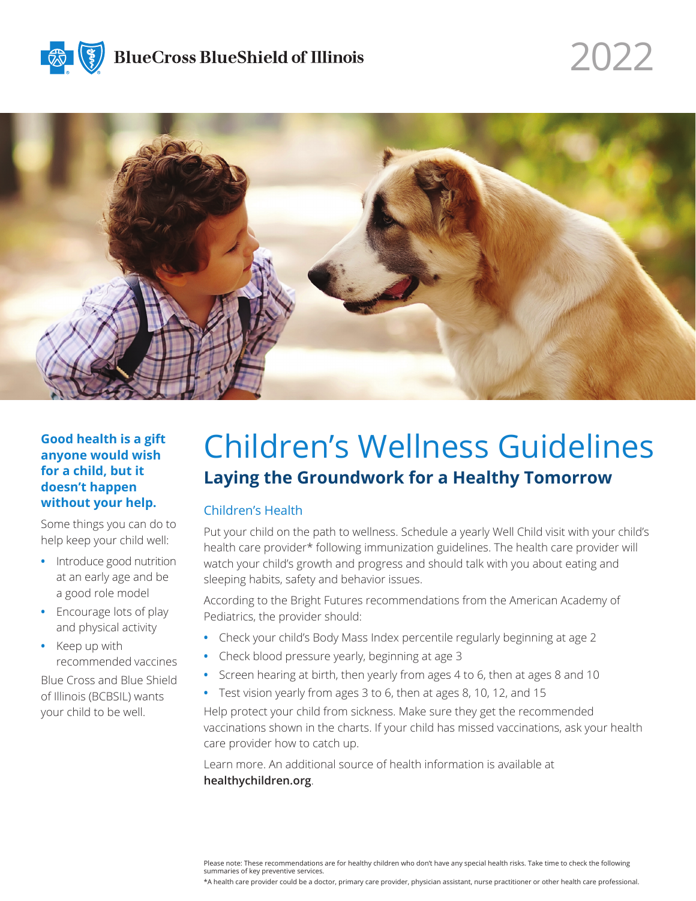



### **Good health is a gift anyone would wish for a child, but it doesn't happen without your help.**

Some things you can do to help keep your child well:

- **•** Introduce good nutrition at an early age and be a good role model
- **•** Encourage lots of play and physical activity
- **•** Keep up with recommended vaccines Blue Cross and Blue Shield of Illinois (BCBSIL) wants your child to be well.

# Children's Wellness Guidelines **Laying the Groundwork for a Healthy Tomorrow**

2022

### Children's Health

Put your child on the path to wellness. Schedule a yearly Well Child visit with your child's health care provider\* following immunization guidelines. The health care provider will watch your child's growth and progress and should talk with you about eating and sleeping habits, safety and behavior issues.

According to the Bright Futures recommendations from the American Academy of Pediatrics, the provider should:

- **•** Check your child's Body Mass Index percentile regularly beginning at age 2
- **•** Check blood pressure yearly, beginning at age 3
- **•** Screen hearing at birth, then yearly from ages 4 to 6, then at ages 8 and 10
- **•** Test vision yearly from ages 3 to 6, then at ages 8, 10, 12, and 15

Help protect your child from sickness. Make sure they get the recommended vaccinations shown in the charts. If your child has missed vaccinations, ask your health care provider how to catch up.

Learn more. An additional source of health information is available at **healthychildren.org**.

\*A health care provider could be a doctor, primary care provider, physician assistant, nurse practitioner or other health care professional.

Please note: These recommendations are for healthy children who don't have any special health risks. Take time to check the following summaries of key preventive services.